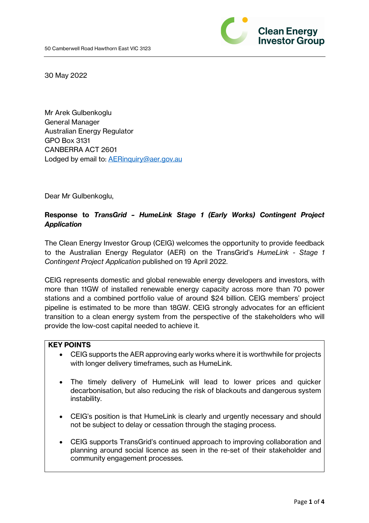

30 May 2022

Mr Arek Gulbenkoglu General Manager Australian Energy Regulator GPO Box 3131 CANBERRA ACT 2601 Lodged by email to: AERinquiry@aer.gov.au

Dear Mr Gulbenkoglu,

# **Response to** *TransGrid – HumeLink Stage 1 (Early Works) Contingent Project Application*

The Clean Energy Investor Group (CEIG) welcomes the opportunity to provide feedback to the Australian Energy Regulator (AER) on the TransGrid's *HumeLink - Stage 1 Contingent Project Application* published on 19 April 2022.

CEIG represents domestic and global renewable energy developers and investors, with more than 11GW of installed renewable energy capacity across more than 70 power stations and a combined portfolio value of around \$24 billion. CEIG members' project pipeline is estimated to be more than 18GW. CEIG strongly advocates for an efficient transition to a clean energy system from the perspective of the stakeholders who will provide the low-cost capital needed to achieve it.

#### **KEY POINTS**

- CEIG supports the AER approving early works where it is worthwhile for projects with longer delivery timeframes, such as HumeLink.
- The timely delivery of HumeLink will lead to lower prices and quicker decarbonisation, but also reducing the risk of blackouts and dangerous system instability.
- CEIG's position is that HumeLink is clearly and urgently necessary and should not be subject to delay or cessation through the staging process.
- CEIG supports TransGrid's continued approach to improving collaboration and planning around social licence as seen in the re-set of their stakeholder and community engagement processes.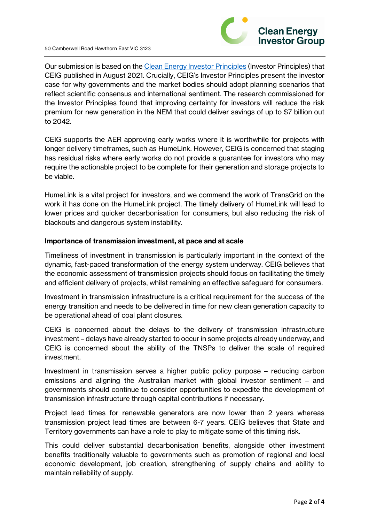

Our submission is based on the Clean Energy Investor Principles (Investor Principles) that CEIG published in August 2021. Crucially, CEIG's Investor Principles present the investor case for why governments and the market bodies should adopt planning scenarios that reflect scientific consensus and international sentiment. The research commissioned for the Investor Principles found that improving certainty for investors will reduce the risk premium for new generation in the NEM that could deliver savings of up to \$7 billion out to 2042.

CEIG supports the AER approving early works where it is worthwhile for projects with longer delivery timeframes, such as HumeLink. However, CEIG is concerned that staging has residual risks where early works do not provide a guarantee for investors who may require the actionable project to be complete for their generation and storage projects to be viable.

HumeLink is a vital project for investors, and we commend the work of TransGrid on the work it has done on the HumeLink project. The timely delivery of HumeLink will lead to lower prices and quicker decarbonisation for consumers, but also reducing the risk of blackouts and dangerous system instability.

## **Importance of transmission investment, at pace and at scale**

Timeliness of investment in transmission is particularly important in the context of the dynamic, fast-paced transformation of the energy system underway. CEIG believes that the economic assessment of transmission projects should focus on facilitating the timely and efficient delivery of projects, whilst remaining an effective safeguard for consumers.

Investment in transmission infrastructure is a critical requirement for the success of the energy transition and needs to be delivered in time for new clean generation capacity to be operational ahead of coal plant closures.

CEIG is concerned about the delays to the delivery of transmission infrastructure investment – delays have already started to occur in some projects already underway, and CEIG is concerned about the ability of the TNSPs to deliver the scale of required investment.

Investment in transmission serves a higher public policy purpose – reducing carbon emissions and aligning the Australian market with global investor sentiment – and governments should continue to consider opportunities to expedite the development of transmission infrastructure through capital contributions if necessary.

Project lead times for renewable generators are now lower than 2 years whereas transmission project lead times are between 6-7 years. CEIG believes that State and Territory governments can have a role to play to mitigate some of this timing risk.

This could deliver substantial decarbonisation benefits, alongside other investment benefits traditionally valuable to governments such as promotion of regional and local economic development, job creation, strengthening of supply chains and ability to maintain reliability of supply.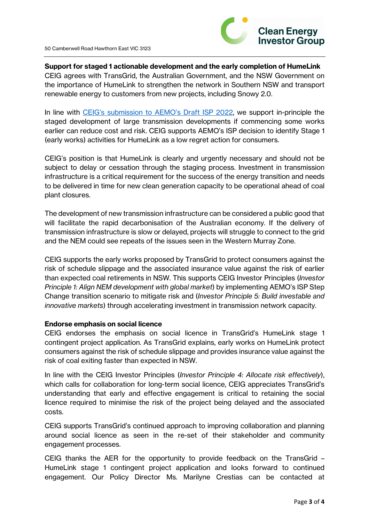

## **Support for staged 1 actionable development and the early completion of HumeLink**

CEIG agrees with TransGrid, the Australian Government, and the NSW Government on the importance of HumeLink to strengthen the network in Southern NSW and transport renewable energy to customers from new projects, including Snowy 2.0.

In line with CEIG's submission to AEMO's Draft ISP 2022, we support in-principle the staged development of large transmission developments if commencing some works earlier can reduce cost and risk. CEIG supports AEMO's ISP decision to identify Stage 1 (early works) activities for HumeLink as a low regret action for consumers.

CEIG's position is that HumeLink is clearly and urgently necessary and should not be subject to delay or cessation through the staging process. Investment in transmission infrastructure is a critical requirement for the success of the energy transition and needs to be delivered in time for new clean generation capacity to be operational ahead of coal plant closures.

The development of new transmission infrastructure can be considered a public good that will facilitate the rapid decarbonisation of the Australian economy. If the delivery of transmission infrastructure is slow or delayed, projects will struggle to connect to the grid and the NEM could see repeats of the issues seen in the Western Murray Zone.

CEIG supports the early works proposed by TransGrid to protect consumers against the risk of schedule slippage and the associated insurance value against the risk of earlier than expected coal retirements in NSW. This supports CEIG Investor Principles (*Investor Principle 1: Align NEM development with global market*) by implementing AEMO's ISP Step Change transition scenario to mitigate risk and (*Investor Principle 5: Build investable and innovative markets*) through accelerating investment in transmission network capacity.

#### **Endorse emphasis on social licence**

CEIG endorses the emphasis on social licence in TransGrid's HumeLink stage 1 contingent project application. As TransGrid explains, early works on HumeLink protect consumers against the risk of schedule slippage and provides insurance value against the risk of coal exiting faster than expected in NSW.

In line with the CEIG Investor Principles (*Investor Principle 4: Allocate risk effectively*), which calls for collaboration for long-term social licence, CEIG appreciates TransGrid's understanding that early and effective engagement is critical to retaining the social licence required to minimise the risk of the project being delayed and the associated costs.

CEIG supports TransGrid's continued approach to improving collaboration and planning around social licence as seen in the re-set of their stakeholder and community engagement processes.

CEIG thanks the AER for the opportunity to provide feedback on the TransGrid – HumeLink stage 1 contingent project application and looks forward to continued engagement. Our Policy Director Ms. Marilyne Crestias can be contacted at